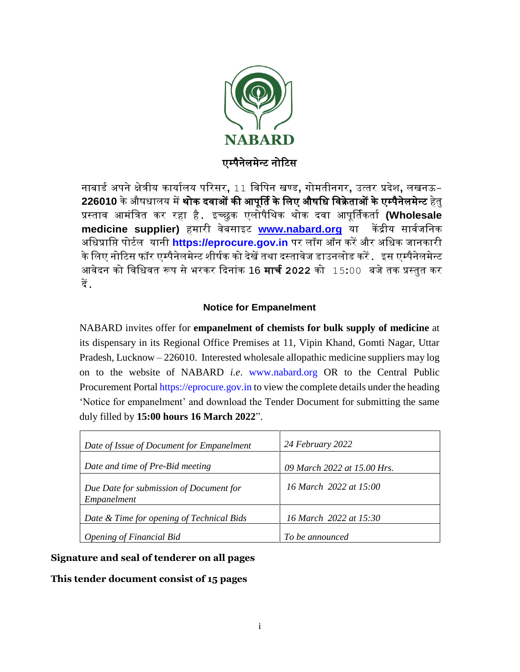

नाबार्ड अपने क्षेत्रीय कार्यालय परिसर, 11 विपिन खण्ड, गोमतीनगर, उत्तर प्रदेश, लखनऊ-226010 के औषधालय में <mark>थोक दवाओं की आपूर्ति के लिए औषधि विक्रेताओं के एम्पैनेलमेन्ट</mark> हेतु प्रस्ताव आमंत्रित कर रहा है. इच्छुक एलोपैथिक थोक दवा आपूर्तिकर्ता **(Wholesale** medicine supplier) हमारी वेबसाइट [www.nabard.org](http://www.nabard.org/) या केंद्रीय सार्वजनिक अधिप्राप्ति पोर्टल यानी https://eprocure.gov.in पर लॉग ऑन करें और अधिक जानकारी के लिए नोटिस फॉर एम्पैनेलमेन्ट शीर्षक को देखें तथा दस्तावेज डाउनलोड करें . इस एम्पैनेलमेन्ट आवेदन को विधिवत रूप से भरकर दिनांक 16 **मार्च 2022** को 15**:**00 बजे तक प्रस्तुत कर दें.

## **Notice for Empanelment**

NABARD invites offer for **empanelment of chemists for bulk supply of medicine** at its dispensary in its Regional Office Premises at 11, Vipin Khand, Gomti Nagar, Uttar Pradesh, Lucknow – 226010. Interested wholesale allopathic medicine suppliers may log on to the website of NABARD *i.e*. [www.nabard.org](http://www.nabard.org/) OR to the Central Public Procurement Portal [https://eprocure.gov.in](https://eprocure.gov.in/) to view the complete details under the heading 'Notice for empanelment' and download the Tender Document for submitting the same duly filled by **15:00 hours 16 March 2022**".

| Date of Issue of Document for Empanelment              | 24 February 2022            |
|--------------------------------------------------------|-----------------------------|
| Date and time of Pre-Bid meeting                       | 09 March 2022 at 15.00 Hrs. |
| Due Date for submission of Document for<br>Empanelment | 16 March 2022 at 15:00      |
| Date & Time for opening of Technical Bids              | 16 March 2022 at 15:30      |
| <b>Opening of Financial Bid</b>                        | To be announced             |

**Signature and seal of tenderer on all pages**

**This tender document consist of 15 pages**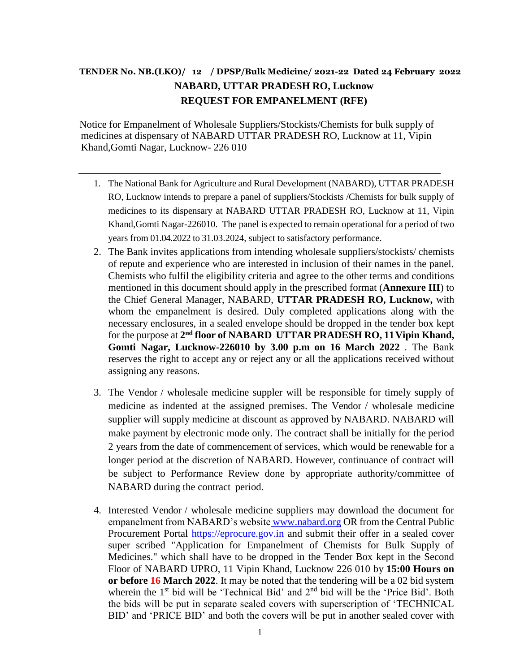# **TENDER No. NB.(LKO)/ 12 / DPSP/Bulk Medicine/ 2021-22 Dated 24 February 2022 NABARD, UTTAR PRADESH RO, Lucknow REQUEST FOR EMPANELMENT (RFE)**

Notice for Empanelment of Wholesale Suppliers/Stockists/Chemists for bulk supply of medicines at dispensary of NABARD UTTAR PRADESH RO, Lucknow at 11, Vipin Khand,Gomti Nagar, Lucknow- 226 010

- 1. The National Bank for Agriculture and Rural Development (NABARD), UTTAR PRADESH RO, Lucknow intends to prepare a panel of suppliers/Stockists /Chemists for bulk supply of medicines to its dispensary at NABARD UTTAR PRADESH RO, Lucknow at 11, Vipin Khand,Gomti Nagar-226010. The panel is expected to remain operational for a period of two years from 01.04.2022 to 31.03.2024, subject to satisfactory performance.
- 2. The Bank invites applications from intending wholesale suppliers/stockists/ chemists of repute and experience who are interested in inclusion of their names in the panel. Chemists who fulfil the eligibility criteria and agree to the other terms and conditions mentioned in this document should apply in the prescribed format (**Annexure III**) to the Chief General Manager, NABARD, **UTTAR PRADESH RO, Lucknow,** with whom the empanelment is desired. Duly completed applications along with the necessary enclosures, in a sealed envelope should be dropped in the tender box kept for the purpose at 2<sup>nd</sup> floor of NABARD UTTAR PRADESH RO, 11 Vipin Khand, **Gomti Nagar, Lucknow-226010 by 3.00 p.m on 16 March 2022** . The Bank reserves the right to accept any or reject any or all the applications received without assigning any reasons.
- 3. The Vendor / wholesale medicine suppler will be responsible for timely supply of medicine as indented at the assigned premises. The Vendor / wholesale medicine supplier will supply medicine at discount as approved by NABARD. NABARD will make payment by electronic mode only. The contract shall be initially for the period 2 years from the date of commencement of services, which would be renewable for a longer period at the discretion of NABARD. However, continuance of contract will be subject to Performance Review done by appropriate authority/committee of NABARD during the contract period.
- 4. Interested Vendor / wholesale medicine suppliers may download the document for empanelment from NABARD's website [www.nabard.org](http://www.nabard.org/) OR from the Central Public Procurement Portal [https://eprocure.gov.in](https://eprocure.gov.in/) and submit their offer in a sealed cover super scribed "Application for Empanelment of Chemists for Bulk Supply of Medicines." which shall have to be dropped in the Tender Box kept in the Second Floor of NABARD UPRO, 11 Vipin Khand, Lucknow 226 010 by **15:00 Hours on or before 16 March 2022**. It may be noted that the tendering will be a 02 bid system wherein the 1<sup>st</sup> bid will be 'Technical Bid' and 2<sup>nd</sup> bid will be the 'Price Bid'. Both the bids will be put in separate sealed covers with superscription of 'TECHNICAL BID' and 'PRICE BID' and both the covers will be put in another sealed cover with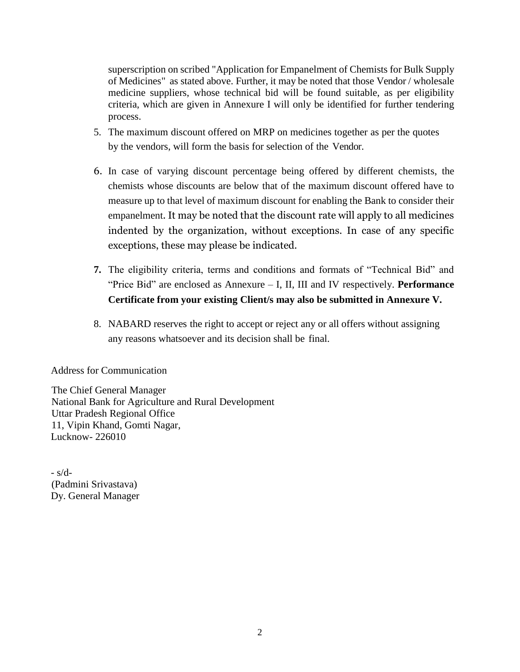superscription on scribed "Application for Empanelment of Chemists for Bulk Supply of Medicines" as stated above. Further, it may be noted that those Vendor / wholesale medicine suppliers, whose technical bid will be found suitable, as per eligibility criteria, which are given in Annexure I will only be identified for further tendering process.

- 5. The maximum discount offered on MRP on medicines together as per the quotes by the vendors, will form the basis for selection of the Vendor.
- 6. In case of varying discount percentage being offered by different chemists, the chemists whose discounts are below that of the maximum discount offered have to measure up to that level of maximum discount for enabling the Bank to consider their empanelment. It may be noted that the discount rate will apply to all medicines indented by the organization, without exceptions. In case of any specific exceptions, these may please be indicated.
- **7.** The eligibility criteria, terms and conditions and formats of "Technical Bid" and "Price Bid" are enclosed as Annexure – I, II, III and IV respectively. **Performance Certificate from your existing Client/s may also be submitted in Annexure V.**
- 8. NABARD reserves the right to accept or reject any or all offers without assigning any reasons whatsoever and its decision shall be final.

Address for Communication

The Chief General Manager National Bank for Agriculture and Rural Development Uttar Pradesh Regional Office 11, Vipin Khand, Gomti Nagar, Lucknow- 226010

- s/d- (Padmini Srivastava) Dy. General Manager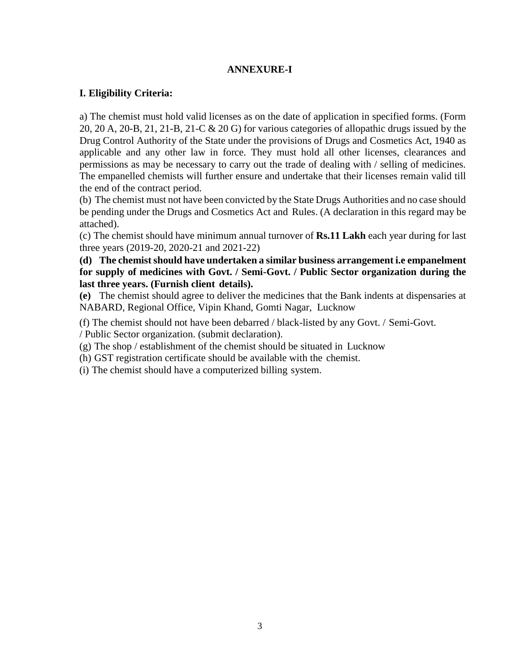#### **ANNEXURE-I**

#### **I. Eligibility Criteria:**

a) The chemist must hold valid licenses as on the date of application in specified forms. (Form 20, 20 A, 20-B, 21, 21-B, 21-C & 20 G) for various categories of allopathic drugs issued by the Drug Control Authority of the State under the provisions of Drugs and Cosmetics Act, 1940 as applicable and any other law in force. They must hold all other licenses, clearances and permissions as may be necessary to carry out the trade of dealing with / selling of medicines. The empanelled chemists will further ensure and undertake that their licenses remain valid till the end of the contract period.

(b) The chemist must not have been convicted by the State Drugs Authorities and no case should be pending under the Drugs and Cosmetics Act and Rules. (A declaration in this regard may be attached).

(c) The chemist should have minimum annual turnover of **Rs.11 Lakh** each year during for last three years (2019-20, 2020-21 and 2021-22)

### **(d) The chemist should have undertaken a similar business arrangement i.e empanelment for supply of medicines with Govt. / Semi-Govt. / Public Sector organization during the last three years. (Furnish client details).**

**(e)** The chemist should agree to deliver the medicines that the Bank indents at dispensaries at NABARD, Regional Office, Vipin Khand, Gomti Nagar, Lucknow

(f) The chemist should not have been debarred / black-listed by any Govt. / Semi-Govt.

/ Public Sector organization. (submit declaration).

(g) The shop / establishment of the chemist should be situated in Lucknow

(h) GST registration certificate should be available with the chemist.

(i) The chemist should have a computerized billing system.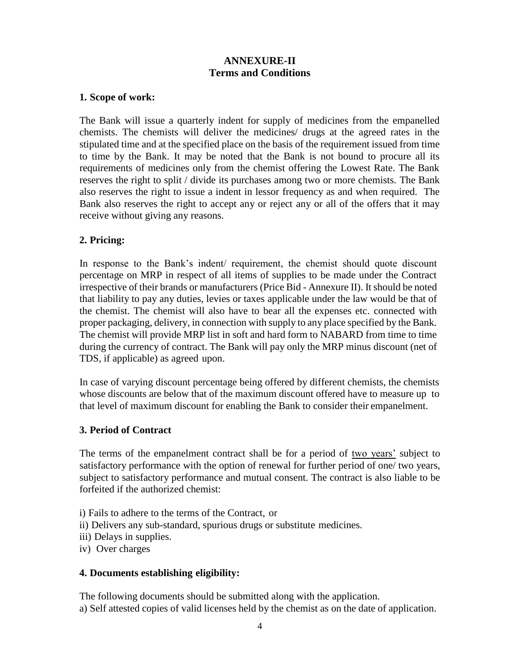## **ANNEXURE-II Terms and Conditions**

### **1. Scope of work:**

The Bank will issue a quarterly indent for supply of medicines from the empanelled chemists. The chemists will deliver the medicines/ drugs at the agreed rates in the stipulated time and at the specified place on the basis of the requirement issued from time to time by the Bank. It may be noted that the Bank is not bound to procure all its requirements of medicines only from the chemist offering the Lowest Rate. The Bank reserves the right to split / divide its purchases among two or more chemists. The Bank also reserves the right to issue a indent in lessor frequency as and when required. The Bank also reserves the right to accept any or reject any or all of the offers that it may receive without giving any reasons.

## **2. Pricing:**

In response to the Bank's indent/ requirement, the chemist should quote discount percentage on MRP in respect of all items of supplies to be made under the Contract irrespective of their brands or manufacturers (Price Bid - Annexure II). It should be noted that liability to pay any duties, levies or taxes applicable under the law would be that of the chemist. The chemist will also have to bear all the expenses etc. connected with proper packaging, delivery, in connection with supply to any place specified by the Bank. The chemist will provide MRP list in soft and hard form to NABARD from time to time during the currency of contract. The Bank will pay only the MRP minus discount (net of TDS, if applicable) as agreed upon.

In case of varying discount percentage being offered by different chemists, the chemists whose discounts are below that of the maximum discount offered have to measure up to that level of maximum discount for enabling the Bank to consider their empanelment.

## **3. Period of Contract**

The terms of the empanelment contract shall be for a period of two years' subject to satisfactory performance with the option of renewal for further period of one/ two years, subject to satisfactory performance and mutual consent. The contract is also liable to be forfeited if the authorized chemist:

- i) Fails to adhere to the terms of the Contract, or
- ii) Delivers any sub-standard, spurious drugs or substitute medicines.
- iii) Delays in supplies.
- iv) Over charges

## **4. Documents establishing eligibility:**

The following documents should be submitted along with the application. a) Self attested copies of valid licenses held by the chemist as on the date of application.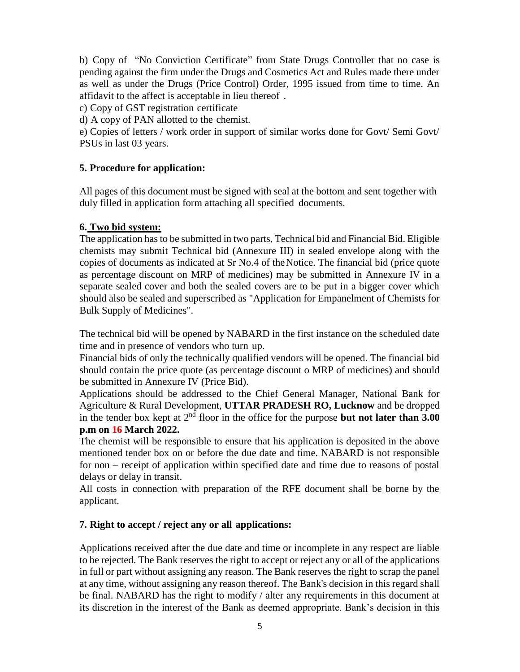b) Copy of "No Conviction Certificate" from State Drugs Controller that no case is pending against the firm under the Drugs and Cosmetics Act and Rules made there under as well as under the Drugs (Price Control) Order, 1995 issued from time to time. An affidavit to the affect is acceptable in lieu thereof .

c) Copy of GST registration certificate

d) A copy of PAN allotted to the chemist.

e) Copies of letters / work order in support of similar works done for Govt/ Semi Govt/ PSUs in last 03 years.

## **5. Procedure for application:**

All pages of this document must be signed with seal at the bottom and sent together with duly filled in application form attaching all specified documents.

### **6. Two bid system:**

The application has to be submitted in two parts, Technical bid and Financial Bid. Eligible chemists may submit Technical bid (Annexure III) in sealed envelope along with the copies of documents as indicated at Sr No.4 of theNotice. The financial bid (price quote as percentage discount on MRP of medicines) may be submitted in Annexure IV in a separate sealed cover and both the sealed covers are to be put in a bigger cover which should also be sealed and superscribed as "Application for Empanelment of Chemists for Bulk Supply of Medicines".

The technical bid will be opened by NABARD in the first instance on the scheduled date time and in presence of vendors who turn up.

Financial bids of only the technically qualified vendors will be opened. The financial bid should contain the price quote (as percentage discount o MRP of medicines) and should be submitted in Annexure IV (Price Bid).

Applications should be addressed to the Chief General Manager, National Bank for Agriculture & Rural Development, **UTTAR PRADESH RO, Lucknow** and be dropped in the tender box kept at  $2<sup>nd</sup>$  floor in the office for the purpose **but not later than 3.00 p.m on 16 March 2022.**

The chemist will be responsible to ensure that his application is deposited in the above mentioned tender box on or before the due date and time. NABARD is not responsible for non – receipt of application within specified date and time due to reasons of postal delays or delay in transit.

All costs in connection with preparation of the RFE document shall be borne by the applicant.

## **7. Right to accept / reject any or all applications:**

Applications received after the due date and time or incomplete in any respect are liable to be rejected. The Bank reserves the right to accept or reject any or all of the applications in full or part without assigning any reason. The Bank reserves the right to scrap the panel at any time, without assigning any reason thereof. The Bank's decision in this regard shall be final. NABARD has the right to modify / alter any requirements in this document at its discretion in the interest of the Bank as deemed appropriate. Bank's decision in this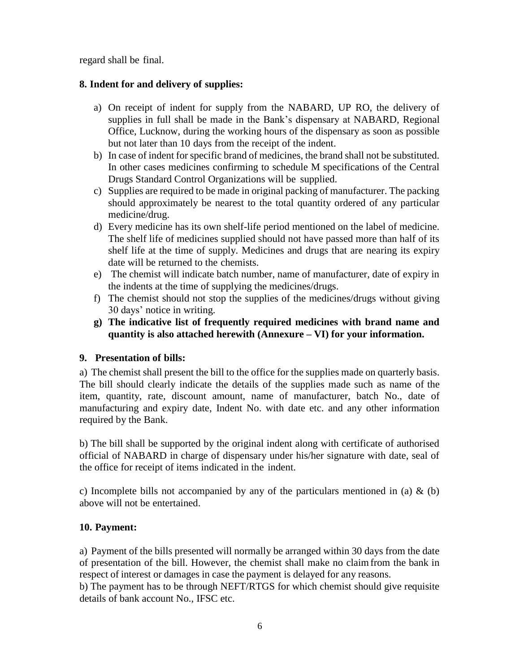regard shall be final.

## **8. Indent for and delivery of supplies:**

- a) On receipt of indent for supply from the NABARD, UP RO, the delivery of supplies in full shall be made in the Bank's dispensary at NABARD, Regional Office, Lucknow, during the working hours of the dispensary as soon as possible but not later than 10 days from the receipt of the indent.
- b) In case of indent for specific brand of medicines, the brand shall not be substituted. In other cases medicines confirming to schedule M specifications of the Central Drugs Standard Control Organizations will be supplied.
- c) Supplies are required to be made in original packing of manufacturer. The packing should approximately be nearest to the total quantity ordered of any particular medicine/drug.
- d) Every medicine has its own shelf-life period mentioned on the label of medicine. The shelf life of medicines supplied should not have passed more than half of its shelf life at the time of supply. Medicines and drugs that are nearing its expiry date will be returned to the chemists.
- e) The chemist will indicate batch number, name of manufacturer, date of expiry in the indents at the time of supplying the medicines/drugs.
- f) The chemist should not stop the supplies of the medicines/drugs without giving 30 days' notice in writing.
- **g) The indicative list of frequently required medicines with brand name and quantity is also attached herewith (Annexure – VI) for your information.**

## **9. Presentation of bills:**

a) The chemist shall present the bill to the office for the supplies made on quarterly basis. The bill should clearly indicate the details of the supplies made such as name of the item, quantity, rate, discount amount, name of manufacturer, batch No., date of manufacturing and expiry date, Indent No. with date etc. and any other information required by the Bank.

b) The bill shall be supported by the original indent along with certificate of authorised official of NABARD in charge of dispensary under his/her signature with date, seal of the office for receipt of items indicated in the indent.

c) Incomplete bills not accompanied by any of the particulars mentioned in (a)  $\&$  (b) above will not be entertained.

## **10. Payment:**

a) Payment of the bills presented will normally be arranged within 30 days from the date of presentation of the bill. However, the chemist shall make no claimfrom the bank in respect of interest or damages in case the payment is delayed for any reasons.

b) The payment has to be through NEFT/RTGS for which chemist should give requisite details of bank account No., IFSC etc.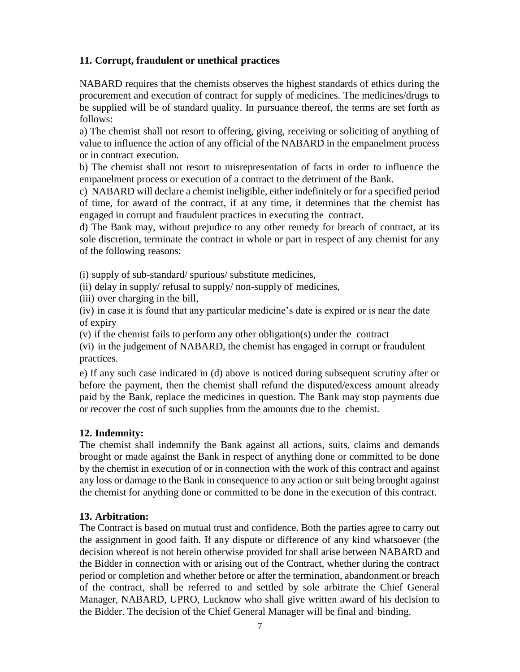## **11. Corrupt, fraudulent or unethical practices**

NABARD requires that the chemists observes the highest standards of ethics during the procurement and execution of contract for supply of medicines. The medicines/drugs to be supplied will be of standard quality. In pursuance thereof, the terms are set forth as follows:

a) The chemist shall not resort to offering, giving, receiving or soliciting of anything of value to influence the action of any official of the NABARD in the empanelment process or in contract execution.

b) The chemist shall not resort to misrepresentation of facts in order to influence the empanelment process or execution of a contract to the detriment of the Bank.

c) NABARD will declare a chemist ineligible, either indefinitely or for a specified period of time, for award of the contract, if at any time, it determines that the chemist has engaged in corrupt and fraudulent practices in executing the contract.

d) The Bank may, without prejudice to any other remedy for breach of contract, at its sole discretion, terminate the contract in whole or part in respect of any chemist for any of the following reasons:

(i) supply of sub-standard/ spurious/ substitute medicines,

(ii) delay in supply/ refusal to supply/ non-supply of medicines,

(iii) over charging in the bill,

(iv) in case it is found that any particular medicine's date is expired or is near the date of expiry

(v) if the chemist fails to perform any other obligation(s) under the contract

(vi) in the judgement of NABARD, the chemist has engaged in corrupt or fraudulent practices.

e) If any such case indicated in (d) above is noticed during subsequent scrutiny after or before the payment, then the chemist shall refund the disputed/excess amount already paid by the Bank, replace the medicines in question. The Bank may stop payments due or recover the cost of such supplies from the amounts due to the chemist.

## **12. Indemnity:**

The chemist shall indemnify the Bank against all actions, suits, claims and demands brought or made against the Bank in respect of anything done or committed to be done by the chemist in execution of or in connection with the work of this contract and against any loss or damage to the Bank in consequence to any action or suit being brought against the chemist for anything done or committed to be done in the execution of this contract.

## **13. Arbitration:**

The Contract is based on mutual trust and confidence. Both the parties agree to carry out the assignment in good faith. If any dispute or difference of any kind whatsoever (the decision whereof is not herein otherwise provided for shall arise between NABARD and the Bidder in connection with or arising out of the Contract, whether during the contract period or completion and whether before or after the termination, abandonment or breach of the contract, shall be referred to and settled by sole arbitrate the Chief General Manager, NABARD, UPRO, Lucknow who shall give written award of his decision to the Bidder. The decision of the Chief General Manager will be final and binding.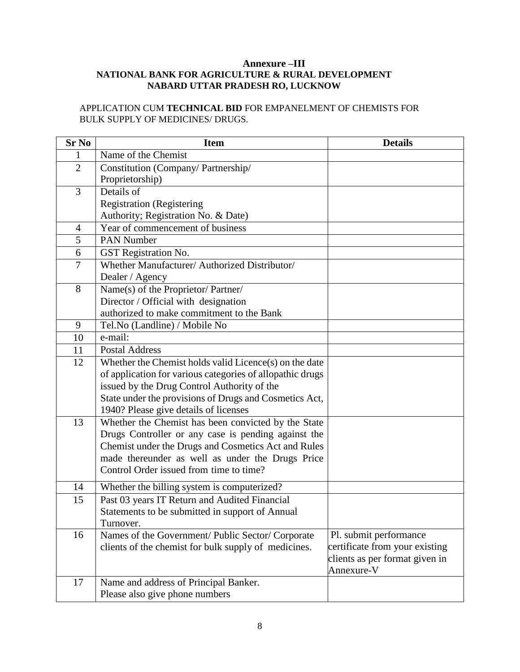#### **Annexure –III NATIONAL BANK FOR AGRICULTURE & RURAL DEVELOPMENT NABARD UTTAR PRADESH RO, LUCKNOW**

APPLICATION CUM **TECHNICAL BID** FOR EMPANELMENT OF CHEMISTS FOR BULK SUPPLY OF MEDICINES/ DRUGS.

| <b>Sr No</b>   | <b>Item</b>                                               | <b>Details</b>                 |
|----------------|-----------------------------------------------------------|--------------------------------|
| 1              | Name of the Chemist                                       |                                |
| $\overline{2}$ | Constitution (Company/Partnership/                        |                                |
|                | Proprietorship)                                           |                                |
| 3              | Details of                                                |                                |
|                | <b>Registration (Registering</b>                          |                                |
|                | Authority; Registration No. & Date)                       |                                |
| 4              | Year of commencement of business                          |                                |
| $\overline{5}$ | <b>PAN Number</b>                                         |                                |
| 6              | GST Registration No.                                      |                                |
| 7              | Whether Manufacturer/ Authorized Distributor/             |                                |
|                | Dealer / Agency                                           |                                |
| 8              | Name(s) of the Proprietor/ Partner/                       |                                |
|                | Director / Official with designation                      |                                |
|                | authorized to make commitment to the Bank                 |                                |
| 9              | Tel.No (Landline) / Mobile No                             |                                |
| 10             | e-mail:                                                   |                                |
| 11             | <b>Postal Address</b>                                     |                                |
| 12             | Whether the Chemist holds valid Licence(s) on the date    |                                |
|                | of application for various categories of allopathic drugs |                                |
|                | issued by the Drug Control Authority of the               |                                |
|                | State under the provisions of Drugs and Cosmetics Act,    |                                |
|                | 1940? Please give details of licenses                     |                                |
| 13             | Whether the Chemist has been convicted by the State       |                                |
|                | Drugs Controller or any case is pending against the       |                                |
|                | Chemist under the Drugs and Cosmetics Act and Rules       |                                |
|                | made thereunder as well as under the Drugs Price          |                                |
|                | Control Order issued from time to time?                   |                                |
| 14             | Whether the billing system is computerized?               |                                |
| 15             | Past 03 years IT Return and Audited Financial             |                                |
|                | Statements to be submitted in support of Annual           |                                |
|                | Turnover.                                                 |                                |
| 16             | Names of the Government/ Public Sector/ Corporate         | Pl. submit performance         |
|                | clients of the chemist for bulk supply of medicines.      | certificate from your existing |
|                |                                                           | clients as per format given in |
|                |                                                           | Annexure-V                     |
| 17             | Name and address of Principal Banker.                     |                                |
|                | Please also give phone numbers                            |                                |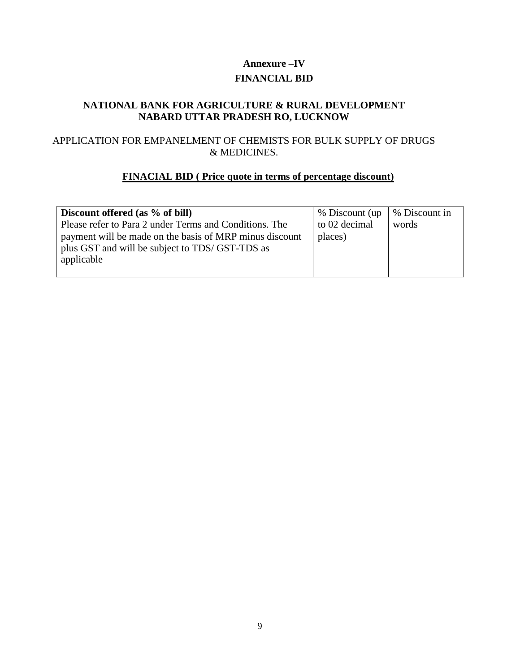# **Annexure –IV FINANCIAL BID**

## **NATIONAL BANK FOR AGRICULTURE & RURAL DEVELOPMENT NABARD UTTAR PRADESH RO, LUCKNOW**

## APPLICATION FOR EMPANELMENT OF CHEMISTS FOR BULK SUPPLY OF DRUGS & MEDICINES.

## **FINACIAL BID ( Price quote in terms of percentage discount)**

| Discount offered (as % of bill)<br>Please refer to Para 2 under Terms and Conditions. The<br>payment will be made on the basis of MRP minus discount<br>plus GST and will be subject to TDS/ GST-TDS as<br>applicable | % Discount (up)<br>to 02 decimal<br>places) | % Discount in<br>words |
|-----------------------------------------------------------------------------------------------------------------------------------------------------------------------------------------------------------------------|---------------------------------------------|------------------------|
|                                                                                                                                                                                                                       |                                             |                        |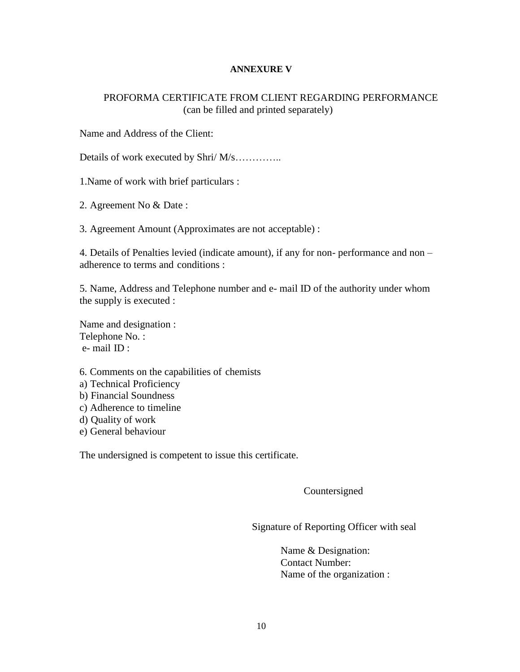#### **ANNEXURE V**

### PROFORMA CERTIFICATE FROM CLIENT REGARDING PERFORMANCE (can be filled and printed separately)

Name and Address of the Client:

Details of work executed by Shri/ M/s…………..

1.Name of work with brief particulars :

2. Agreement No & Date :

3. Agreement Amount (Approximates are not acceptable) :

4. Details of Penalties levied (indicate amount), if any for non- performance and non – adherence to terms and conditions :

5. Name, Address and Telephone number and e- mail ID of the authority under whom the supply is executed :

Name and designation : Telephone No. : e- mail ID :

- 6. Comments on the capabilities of chemists
- a) Technical Proficiency
- b) Financial Soundness
- c) Adherence to timeline
- d) Quality of work
- e) General behaviour

The undersigned is competent to issue this certificate.

Countersigned

Signature of Reporting Officer with seal

Name & Designation: Contact Number: Name of the organization :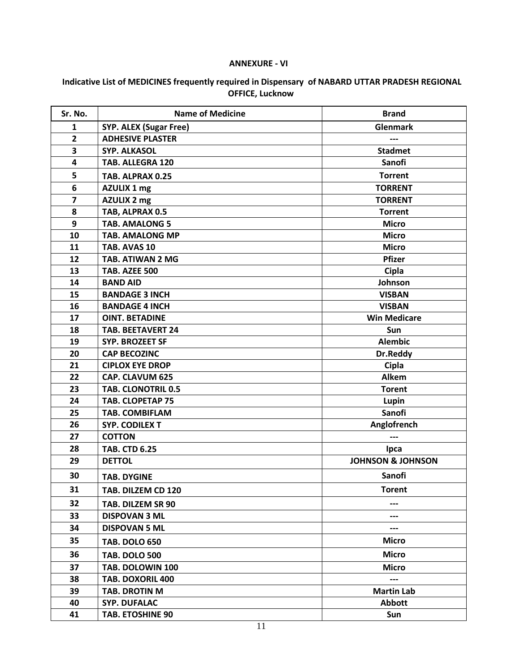#### **ANNEXURE - VI**

### **Indicative List of MEDICINES frequently required in Dispensary of NABARD UTTAR PRADESH REGIONAL OFFICE, Lucknow**

| Sr. No.                 | <b>Name of Medicine</b>       | <b>Brand</b>                 |
|-------------------------|-------------------------------|------------------------------|
| 1                       | <b>SYP. ALEX (Sugar Free)</b> | <b>Glenmark</b>              |
| $\overline{2}$          | <b>ADHESIVE PLASTER</b>       |                              |
| 3                       | <b>SYP. ALKASOL</b>           | <b>Stadmet</b>               |
| 4                       | <b>TAB. ALLEGRA 120</b>       | Sanofi                       |
| 5                       | TAB. ALPRAX 0.25              | <b>Torrent</b>               |
| 6                       | AZULIX 1 mg                   | <b>TORRENT</b>               |
| $\overline{\mathbf{z}}$ | AZULIX 2 mg                   | <b>TORRENT</b>               |
| 8                       | TAB, ALPRAX 0.5               | <b>Torrent</b>               |
| 9                       | <b>TAB. AMALONG 5</b>         | <b>Micro</b>                 |
| 10                      | <b>TAB. AMALONG MP</b>        | <b>Micro</b>                 |
| 11                      | TAB. AVAS 10                  | <b>Micro</b>                 |
| 12                      | TAB. ATIWAN 2 MG              | <b>Pfizer</b>                |
| 13                      | TAB. AZEE 500                 | Cipla                        |
| 14                      | <b>BAND AID</b>               | Johnson                      |
| 15                      | <b>BANDAGE 3 INCH</b>         | <b>VISBAN</b>                |
| 16                      | <b>BANDAGE 4 INCH</b>         | <b>VISBAN</b>                |
| 17                      | <b>OINT. BETADINE</b>         | <b>Win Medicare</b>          |
| 18                      | <b>TAB. BEETAVERT 24</b>      | Sun                          |
| 19                      | <b>SYP. BROZEET SF</b>        | <b>Alembic</b>               |
| 20                      | <b>CAP BECOZINC</b>           | Dr.Reddy                     |
| 21                      | <b>CIPLOX EYE DROP</b>        | Cipla                        |
| 22                      | <b>CAP. CLAVUM 625</b>        | <b>Alkem</b>                 |
| 23                      | <b>TAB. CLONOTRIL 0.5</b>     | <b>Torent</b>                |
| 24                      | <b>TAB. CLOPETAP 75</b>       | Lupin                        |
| 25                      | <b>TAB. COMBIFLAM</b>         | Sanofi                       |
| 26                      | <b>SYP. CODILEX T</b>         | Anglofrench                  |
| 27                      | <b>COTTON</b>                 |                              |
| 28                      | <b>TAB. CTD 6.25</b>          | Ipca                         |
| 29                      | <b>DETTOL</b>                 | <b>JOHNSON &amp; JOHNSON</b> |
| 30                      | <b>TAB. DYGINE</b>            | Sanofi                       |
| 31                      | TAB. DILZEM CD 120            | <b>Torent</b>                |
| 32                      | TAB. DILZEM SR 90             |                              |
| 33                      | <b>DISPOVAN 3 ML</b>          | ---                          |
| 34                      | <b>DISPOVAN 5 ML</b>          | ---                          |
| 35                      | <b>TAB. DOLO 650</b>          | <b>Micro</b>                 |
| 36                      | <b>TAB. DOLO 500</b>          | <b>Micro</b>                 |
| 37                      | TAB. DOLOWIN 100              | <b>Micro</b>                 |
| 38                      | TAB. DOXORIL 400              | ---                          |
| 39                      | TAB. DROTIN M                 | <b>Martin Lab</b>            |
| 40                      | <b>SYP. DUFALAC</b>           | <b>Abbott</b>                |
| 41                      | <b>TAB. ETOSHINE 90</b>       | Sun                          |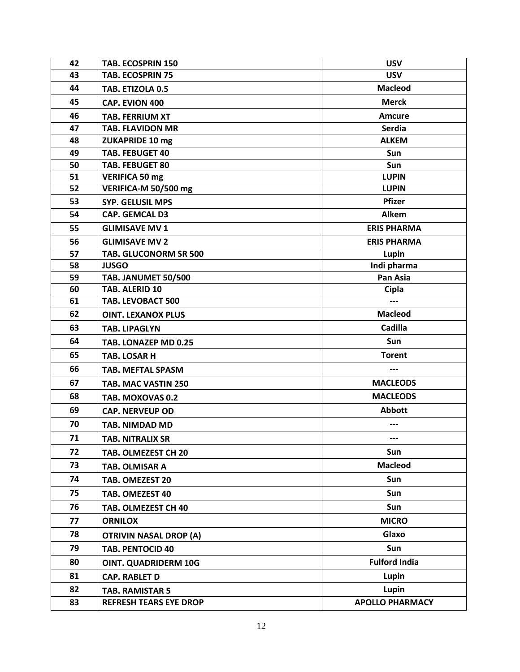| 42 | TAB. ECOSPRIN 150             | <b>USV</b>             |
|----|-------------------------------|------------------------|
| 43 | <b>TAB. ECOSPRIN 75</b>       | <b>USV</b>             |
| 44 | TAB. ETIZOLA 0.5              | <b>Macleod</b>         |
| 45 | CAP. EVION 400                | <b>Merck</b>           |
| 46 | <b>TAB. FERRIUM XT</b>        | <b>Amcure</b>          |
| 47 | <b>TAB. FLAVIDON MR</b>       | <b>Serdia</b>          |
| 48 | <b>ZUKAPRIDE 10 mg</b>        | <b>ALKEM</b>           |
| 49 | <b>TAB. FEBUGET 40</b>        | Sun                    |
| 50 | <b>TAB. FEBUGET 80</b>        | Sun                    |
| 51 | <b>VERIFICA 50 mg</b>         | <b>LUPIN</b>           |
| 52 | VERIFICA-M 50/500 mg          | <b>LUPIN</b>           |
| 53 | <b>SYP. GELUSIL MPS</b>       | <b>Pfizer</b>          |
| 54 | <b>CAP. GEMCAL D3</b>         | Alkem                  |
| 55 | <b>GLIMISAVE MV 1</b>         | <b>ERIS PHARMA</b>     |
| 56 | <b>GLIMISAVE MV 2</b>         | <b>ERIS PHARMA</b>     |
| 57 | TAB. GLUCONORM SR 500         | Lupin                  |
| 58 | <b>JUSGO</b>                  | Indi pharma            |
| 59 | TAB. JANUMET 50/500           | Pan Asia               |
| 60 | TAB. ALERID 10                | Cipla                  |
| 61 | TAB. LEVOBACT 500             | $---$                  |
| 62 | <b>OINT. LEXANOX PLUS</b>     | <b>Macleod</b>         |
| 63 | <b>TAB. LIPAGLYN</b>          | Cadilla                |
| 64 | TAB. LONAZEP MD 0.25          | Sun                    |
| 65 | <b>TAB. LOSAR H</b>           | <b>Torent</b>          |
| 66 | <b>TAB. MEFTAL SPASM</b>      | $---$                  |
| 67 | TAB. MAC VASTIN 250           | <b>MACLEODS</b>        |
| 68 | TAB. MOXOVAS 0.2              | <b>MACLEODS</b>        |
| 69 | <b>CAP. NERVEUP OD</b>        | <b>Abbott</b>          |
| 70 | <b>TAB. NIMDAD MD</b>         | ---                    |
| 71 | <b>TAB. NITRALIX SR</b>       |                        |
| 72 | TAB. OLMEZEST CH 20           | Sun                    |
| 73 | TAB. OLMISAR A                | <b>Macleod</b>         |
| 74 | TAB. OMEZEST 20               | Sun                    |
| 75 | TAB. OMEZEST 40               | Sun                    |
| 76 | TAB. OLMEZEST CH 40           | Sun                    |
| 77 | <b>ORNILOX</b>                | <b>MICRO</b>           |
| 78 | <b>OTRIVIN NASAL DROP (A)</b> | Glaxo                  |
| 79 | <b>TAB. PENTOCID 40</b>       | Sun                    |
| 80 | <b>OINT. QUADRIDERM 10G</b>   | <b>Fulford India</b>   |
| 81 | <b>CAP. RABLET D</b>          | Lupin                  |
| 82 | <b>TAB. RAMISTAR 5</b>        | Lupin                  |
| 83 | <b>REFRESH TEARS EYE DROP</b> | <b>APOLLO PHARMACY</b> |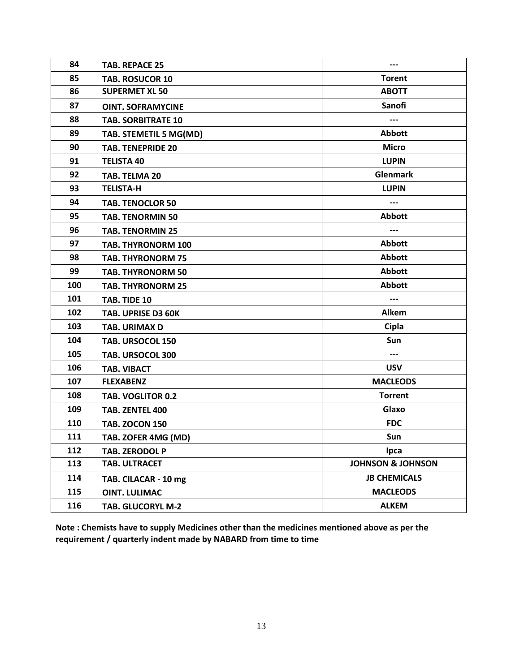| 84  | <b>TAB. REPACE 25</b>     | ---                          |
|-----|---------------------------|------------------------------|
| 85  | <b>TAB. ROSUCOR 10</b>    | <b>Torent</b>                |
| 86  | <b>SUPERMET XL 50</b>     | <b>ABOTT</b>                 |
| 87  | <b>OINT. SOFRAMYCINE</b>  | <b>Sanofi</b>                |
| 88  | <b>TAB. SORBITRATE 10</b> | ---                          |
| 89  | TAB. STEMETIL 5 MG(MD)    | <b>Abbott</b>                |
| 90  | <b>TAB. TENEPRIDE 20</b>  | <b>Micro</b>                 |
| 91  | <b>TELISTA 40</b>         | <b>LUPIN</b>                 |
| 92  | TAB. TELMA 20             | <b>Glenmark</b>              |
| 93  | <b>TELISTA-H</b>          | <b>LUPIN</b>                 |
| 94  | <b>TAB. TENOCLOR 50</b>   | ---                          |
| 95  | <b>TAB. TENORMIN 50</b>   | <b>Abbott</b>                |
| 96  | <b>TAB. TENORMIN 25</b>   | ---                          |
| 97  | <b>TAB. THYRONORM 100</b> | <b>Abbott</b>                |
| 98  | <b>TAB. THYRONORM 75</b>  | <b>Abbott</b>                |
| 99  | <b>TAB. THYRONORM 50</b>  | <b>Abbott</b>                |
| 100 | <b>TAB. THYRONORM 25</b>  | <b>Abbott</b>                |
| 101 | TAB. TIDE 10              | ---                          |
| 102 | TAB. UPRISE D3 60K        | Alkem                        |
| 103 | <b>TAB. URIMAX D</b>      | Cipla                        |
| 104 | TAB. URSOCOL 150          | Sun                          |
| 105 | TAB. URSOCOL 300          | ---                          |
| 106 | <b>TAB. VIBACT</b>        | <b>USV</b>                   |
| 107 | <b>FLEXABENZ</b>          | <b>MACLEODS</b>              |
| 108 | <b>TAB. VOGLITOR 0.2</b>  | <b>Torrent</b>               |
| 109 | TAB. ZENTEL 400           | Glaxo                        |
| 110 | <b>TAB. ZOCON 150</b>     | <b>FDC</b>                   |
| 111 | TAB. ZOFER 4MG (MD)       | Sun                          |
| 112 | TAB. ZERODOL P            | <b>Ipca</b>                  |
| 113 | TAB. ULTRACET             | <b>JOHNSON &amp; JOHNSON</b> |
| 114 | TAB. CILACAR - 10 mg      | <b>JB CHEMICALS</b>          |
| 115 | <b>OINT. LULIMAC</b>      | <b>MACLEODS</b>              |
| 116 | <b>TAB. GLUCORYL M-2</b>  | <b>ALKEM</b>                 |

**Note : Chemists have to supply Medicines other than the medicines mentioned above as per the requirement / quarterly indent made by NABARD from time to time**